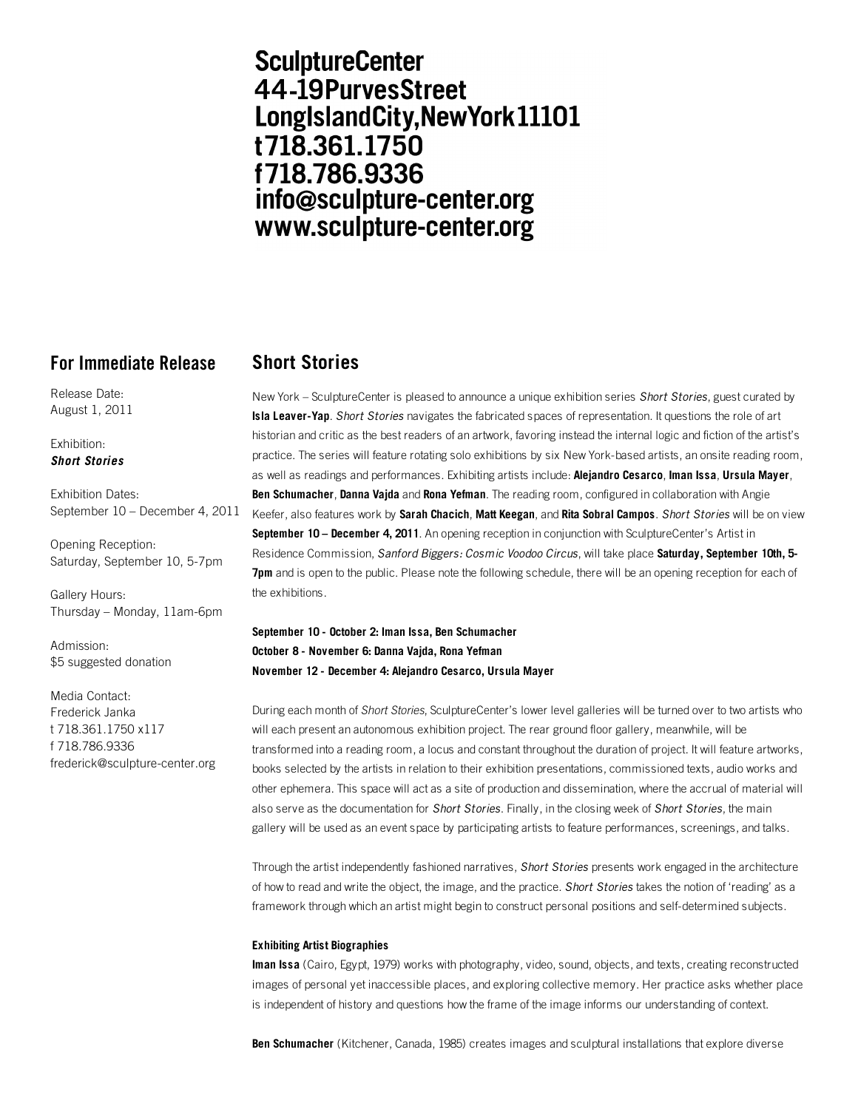# **SculptureCenter** 44-19PurvesStreet LongIslandCity, New York 11101 t718.361.1750 f718.786.9336 info@sculpture-center.org www.sculpture-center.org

# **For Immediate Release Short Stories**

Release Date: August 1, 2011

#### Exhibition: *Short Stories*

Exhibition Dates: September 10 – December 4, 2011

Opening Reception: Saturday, September 10, 5-7pm

Gallery Hours: Thursday – Monday, 11am-6pm

Admission: \$5 suggested donation

Media Contact: Frederick Janka t 718.361.1750 x117 f 718.786.9336 frederick@sculpture-center.org

New York – SculptureCenter is pleased to announce a unique exhibition series *Short Stories*, guest curated by **Isla Leaver-Yap**. *Short Stories* navigates the fabricated spaces of representation. It questions the role of art historian and critic as the best readers of an artwork, favoring instead the internal logic and fiction of the artist's practice. The series will feature rotating solo exhibitions by six New York-based artists, an onsite reading room, as well as readings and performances. Exhibiting artists include: **Alejandro Cesarco**, **Iman Issa**, **Ursula Mayer**, **Ben Schumacher**, **Danna Vajda** and **Rona Yefman**. The reading room, configured in collaboration with Angie Keefer, also features work by **Sarah Chacich**, **Matt Keegan**, and **Rita Sobral Campos**. *Short Stories* will be on view **September 10 – December 4, 2011**. An opening reception in conjunction with SculptureCenter's Artist in Residence Commission, *Sanford Biggers: Cosmic Voodoo Circus*, will take place **Saturday, September 10th, 5- 7pm** and is open to the public. Please note the following schedule, there will be an opening reception for each of the exhibitions.

## **September 10 - October 2: Iman Issa, Ben Schumacher October 8 - November 6: Danna Vajda, Rona Yefman November 12 - December 4: Alejandro Cesarco, Ursula Mayer**

During each month of *Short Stories*, SculptureCenter's lower level galleries will be turned over to two artists who will each present an autonomous exhibition project. The rear ground floor gallery, meanwhile, will be transformed into a reading room, a locus and constant throughout the duration of project. It will feature artworks, books selected by the artists in relation to their exhibition presentations, commissioned texts, audio works and other ephemera. This space will act as a site of production and dissemination, where the accrual of material will also serve as the documentation for *Short Stories*. Finally, in the closing week of *Short Stories*, the main gallery will be used as an event space by participating artists to feature performances, screenings, and talks.

Through the artist independently fashioned narratives, *Short Stories* presents work engaged in the architecture of how to read and write the object, the image, and the practice. *Short Stories* takes the notion of 'reading' as a framework through which an artist might begin to construct personal positions and self-determined subjects.

### **Exhibiting Artist Biographies**

**Iman Issa** (Cairo, Egypt, 1979) works with photography, video, sound, objects, and texts, creating reconstructed images of personal yet inaccessible places, and exploring collective memory. Her practice asks whether place is independent of history and questions how the frame of the image informs our understanding of context.

**Ben Schumacher** (Kitchener, Canada, 1985) creates images and sculptural installations that explore diverse